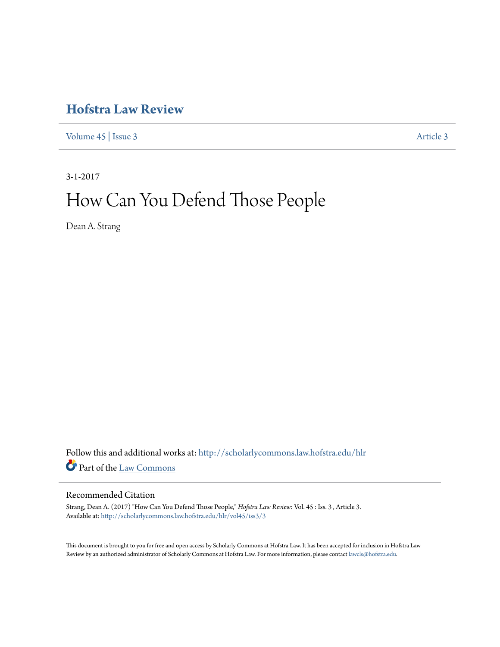## **[Hofstra Law Review](http://scholarlycommons.law.hofstra.edu/hlr?utm_source=scholarlycommons.law.hofstra.edu%2Fhlr%2Fvol45%2Fiss3%2F3&utm_medium=PDF&utm_campaign=PDFCoverPages)**

[Volume 45](http://scholarlycommons.law.hofstra.edu/hlr/vol45?utm_source=scholarlycommons.law.hofstra.edu%2Fhlr%2Fvol45%2Fiss3%2F3&utm_medium=PDF&utm_campaign=PDFCoverPages) | [Issue 3](http://scholarlycommons.law.hofstra.edu/hlr/vol45/iss3?utm_source=scholarlycommons.law.hofstra.edu%2Fhlr%2Fvol45%2Fiss3%2F3&utm_medium=PDF&utm_campaign=PDFCoverPages) [Article 3](http://scholarlycommons.law.hofstra.edu/hlr/vol45/iss3/3?utm_source=scholarlycommons.law.hofstra.edu%2Fhlr%2Fvol45%2Fiss3%2F3&utm_medium=PDF&utm_campaign=PDFCoverPages)

3-1-2017

# How Can You Defend Those People

Dean A. Strang

Follow this and additional works at: [http://scholarlycommons.law.hofstra.edu/hlr](http://scholarlycommons.law.hofstra.edu/hlr?utm_source=scholarlycommons.law.hofstra.edu%2Fhlr%2Fvol45%2Fiss3%2F3&utm_medium=PDF&utm_campaign=PDFCoverPages) Part of the [Law Commons](http://network.bepress.com/hgg/discipline/578?utm_source=scholarlycommons.law.hofstra.edu%2Fhlr%2Fvol45%2Fiss3%2F3&utm_medium=PDF&utm_campaign=PDFCoverPages)

#### Recommended Citation

Strang, Dean A. (2017) "How Can You Defend Those People," *Hofstra Law Review*: Vol. 45 : Iss. 3 , Article 3. Available at: [http://scholarlycommons.law.hofstra.edu/hlr/vol45/iss3/3](http://scholarlycommons.law.hofstra.edu/hlr/vol45/iss3/3?utm_source=scholarlycommons.law.hofstra.edu%2Fhlr%2Fvol45%2Fiss3%2F3&utm_medium=PDF&utm_campaign=PDFCoverPages)

This document is brought to you for free and open access by Scholarly Commons at Hofstra Law. It has been accepted for inclusion in Hofstra Law Review by an authorized administrator of Scholarly Commons at Hofstra Law. For more information, please contact [lawcls@hofstra.edu](mailto:lawcls@hofstra.edu).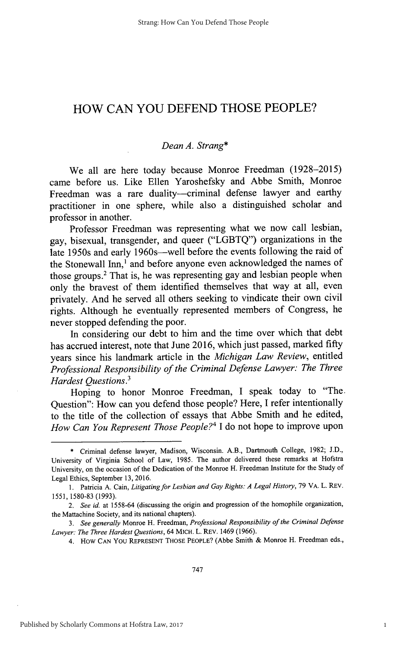### HOW **CAN YOU DEFEND THOSE** PEOPLE?

#### *Dean A. Strang\**

We all are here today because Monroe Freedman **(1928-2015)** came before us. Like Ellen Yaroshefsky and Abbe Smith, Monroe Freedman was a rare duality-criminal defense lawyer and earthy practitioner in one sphere, while also a distinguished scholar and professor in another.

Professor Freedman was representing what we now call lesbian, gay, bisexual, transgender, and queer **("LGBTQ")** organizations in the late 1950s and early 1960s-well before the events following the raid of the Stonewall Inn,' and before anyone even acknowledged the names of those groups.<sup>2</sup> That is, he was representing gay and lesbian people when only the bravest of them identified themselves that way at all, even privately. And he served all others seeking to vindicate their own civil rights. Although he eventually represented members of Congress, he never stopped defending the poor.

In considering our debt to him and the time over which that debt has accrued interest, note that June **2016,** which just passed, marked **fifty** years since his landmark article in the *Michigan Law Review,* entitled *Professional Responsibility of the Criminal Defense Lawyer: The Three Hardest Questions.<sup>3</sup>*

Hoping to honor Monroe Freedman, **I** speak today to "The. Question": How can you defend those people? Here, **I** refer intentionally to the title of the collection of essays that Abbe Smith and he edited, *How Can You Represent Those People?' I* do not hope to improve upon

**<sup>\*</sup>** Criminal defense lawyer, Madison, Wisconsin. A.B., Dartmouth College, **1982; J.D.,** University of Virginia School of Law, **1985.** The author delivered these remarks at Hofstra University, on the occasion of the Dedication of the Monroe H. Freedman Institute for the Study of Legal Ethics, September **13, 2016.**

**<sup>1.</sup>** Patricia **A.** Cain, *Litigating for Lesbian and Gay Rights: A Legal History,* **79** VA. L. REV. **1551, 1580-83 (1993).**

*<sup>2.</sup> See id.* at **1558-64** (discussing the origin and progression of the homophile organization, the Mattachine Society, and its national chapters).

*<sup>3.</sup> See generally* Monroe H. Freedman, *Professional Responsibility of the Criminal Defense Lawyer: The Three Hardest Questions,* 64 MICH. L. REV. 1469 **(1966).**

*<sup>4.</sup>* How **CAN** YOU REPRESENT THOSE PEOPLE? (Abbe Smith **&** Monroe H. Freedman eds.,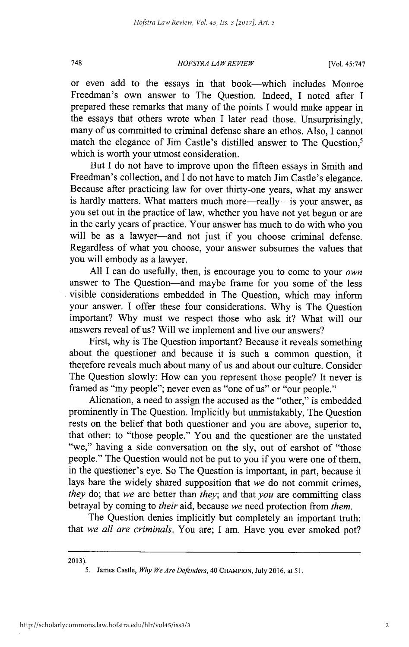#### *HOFSTRA LAW REVIEW* **748** [Vol. 45:747

or even add to the essays in that book-which includes Monroe Freedman's own answer to The Question. Indeed, I noted after **I** prepared these remarks that many of the points **I** would make appear in the essays that others wrote when **I** later read those. Unsurprisingly, many of us committed to criminal defense share an ethos. Also, I cannot match the elegance of Jim Castle's distilled answer to The Question,' which is worth your utmost consideration.

But **I** do not have to improve upon the fifteen essays in Smith and Freedman's collection, and **I** do not have to match Jim Castle's elegance. Because after practicing law for over thirty-one years, what my answer is hardly matters. What matters much more—really—is your answer, as you set out in the practice of law, whether you have not yet begun or are in the early years of practice. Your answer has much to do with who you will be as a lawyer-and not just if you choose criminal defense. Regardless of what you choose, your answer subsumes the values that you will embody as a lawyer.

**All I** can do usefully, then, is encourage you to come to your *own* answer to The Question—and maybe frame for you some of the less visible considerations embedded in The Question, which may inform your answer. **I** offer these four considerations. **Why** is The Question important? **Why** must we respect those who ask it? What will our answers reveal of us? Will we implement and live our answers?

First, why is The Question important? Because it reveals something about the questioner and because it is such a common question, it therefore reveals much about many of us and about our culture. Consider The Question slowly: How can you represent those people? It never is framed as "my people"; never even as "one of us" or "our people."

Alienation, a need to assign the accused as the "other," is embedded prominently in The Question. Implicitly but unmistakably, The Question rests on the belief that both questioner and you are above, superior to, that other: to "those people." You and the questioner are the unstated "we," having a side conversation on the sly, out of earshot of "those people." The Question would not be put to you if you were one of them, in the questioner's eye. So The Question is important, in part, because it lays bare the widely shared supposition that *we* do not commit crimes, *they* do; that *we* are better than *they;* and that *you* are committing class betrayal **by** coming to *their* aid, because *we* need protection from *them.*

The Question denies implicitly but completely an important truth: that *we all are criminals.* You are; **I** am. Have you ever smoked pot?

**<sup>2013).</sup>**

*<sup>5.</sup>* James Castle, *Why We Are Defenders,* 40 **CHAMPION,** July **2016,** at **51.**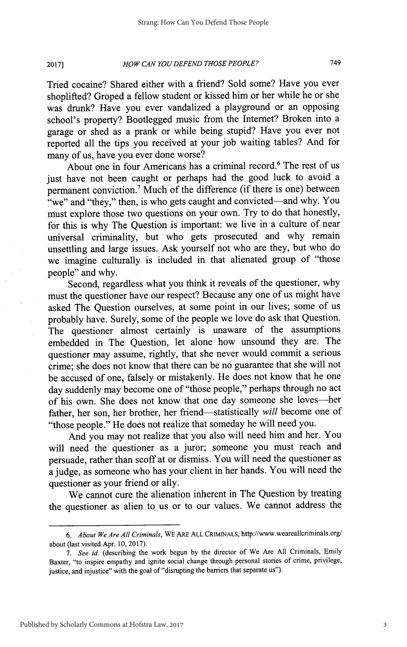#### *HOW CAN YOU DEFEND THOSE PEOPLE?* 749 **2017]**

Tried cocaine? Shared either with a friend? Sold some? Have you ever shoplifted? Groped a fellow student or kissed him or her while he or she was drunk? Have you ever vandalized a playground or an opposing school's property? Bootlegged music from the Internet? Broken into a garage or shed as a prank or while being stupid? Have you ever not reported all the tips you received at your **job** waiting tables? And for many of us, have you ever done worse?

About one in four Americans has a criminal record.<sup>6</sup> The rest of us just have not been caught or perhaps had the good luck to avoid a permanent conviction.' Much of the difference (if there is one) between "we" and "they," then, is who gets caught and convicted—and why. You must explore those two questions on your own. Try to do that honestly, for this is why The Question is important: we live in a culture of near universal criminality, but who gets prosecuted and why remain unsettling and large issues. Ask yourself not who are they, but who do we imagine culturally is included in that alienated group of "those people" and why.

Second, regardless what you think it reveals of the questioner, why must the questioner have our respect? Because any one of us might have asked The Question ourselves, at some point in our lives; some of us probably have. Surely, some of the people we love do ask that Question. The questioner almost certainly is unaware of the assumptions embedded in The Question, let alone how unsound they are. The questioner may assume, rightly, that she never would commit a serious crime; she does not know that there can be no guarantee that she will not be accused of one, falsely or mistakenly. He does not know that he one day suddenly may become one of "those people," perhaps through no act of his own. She does not know that one day someone she loves-her father, her son, her brother, her friend-statistically *will* become one of "those people." He does not realize that someday he will need you.

And you may not realize that you also will need him and her. You will need the questioner as a juror; someone you must reach and persuade, rather than scoff at or dismiss. You will need the questioner as a judge, as someone who has your client in her hands. You will need the questioner as your friend or ally.

We cannot cure the alienation inherent in The Question **by** treating the questioner as alien to us or to our values. We cannot address the

*<sup>6.</sup> About We Are All Criminals,* **WE ARE ALL CRIMINALS,** http://www.weareallcriminals.org/ about (last visited Apr. **10, 2017).**

*<sup>7.</sup> See id.* (describing the work begun **by** the director of We Are **All** Criminals, Emily Baxter, "to inspire empathy and ignite social change through personal stories of crime, privilege, justice, and injustice" with the goal of "disrupting the barriers that separate us").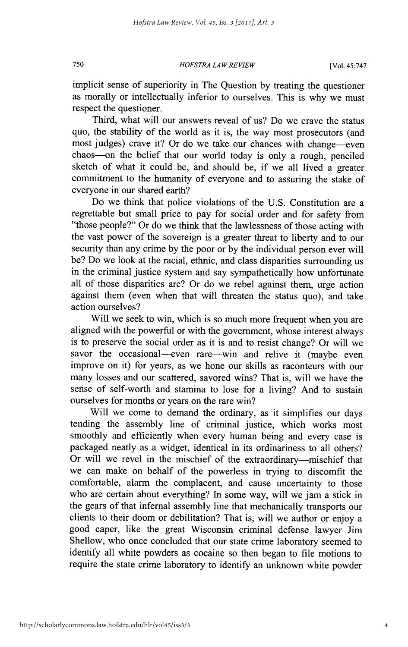*HOFSTRA LAW REVIEW* **750** [Vol. 45:747

implicit sense of superiority in The Question **by** treating the questioner as morally or intellectually inferior to ourselves. This is why we must respect the questioner.

Third, what will our answers reveal of us? Do we crave the status quo, the stability of the world as it is, the way most prosecutors (and most judges) crave it? Or do we take our chances with change—even chaos-on the belief that our world today is only a rough, penciled sketch of what it could be, and should be, if we all lived a greater commitment to the humanity of everyone and to assuring the stake of everyone in our shared earth?

Do we think that police violations of the **U.S.** Constitution are a regrettable but small price to pay for social order and for safety from "those people?" Or do we think that the lawlessness of those acting with the vast power of the sovereign is a greater threat to liberty and to our security than any crime **by** the poor or **by** the individual person ever will be? Do we look at the racial, ethnic, and class disparities surrounding us in the criminal justice system and say sympathetically how unfortunate all of those disparities are? Or do we rebel against them, urge action against them (even when that will threaten the status quo), and take action ourselves?

Will we seek to win, which is so much more frequent when you are aligned with the powerful or with the government, whose interest always is to preserve the social order as it is and to resist change? Or will we savor the occasional-even rare—win and relive it (maybe even improve on it) for years, as we hone our skills as raconteurs with our many losses and our scattered, savored wins? That is, will we have the sense of self-worth and stamina to lose for a living? And to sustain ourselves for months or years on the rare win?

Will we come to demand the ordinary, as it simplifies our days tending the assembly line of criminal justice, which works most smoothly and efficiently when every human being and every case is packaged neatly as a widget, identical in its ordinariness to all others? Or will we revel in the mischief of the extraordinary-mischief that we can make on behalf of the powerless in trying to discomfit the comfortable, alarm the complacent, and cause uncertainty to those who are certain about everything? In some way, will we jam a stick in the gears of that infernal assembly line that mechanically transports our clients to their doom or debilitation? That is, will we author or enjoy a good caper, like the great Wisconsin criminal defense lawyer Jim Shellow, who once concluded that our state crime laboratory seemed to identify all white powders as cocaine so then began to file motions to require the state crime laboratory to identify an unknown white powder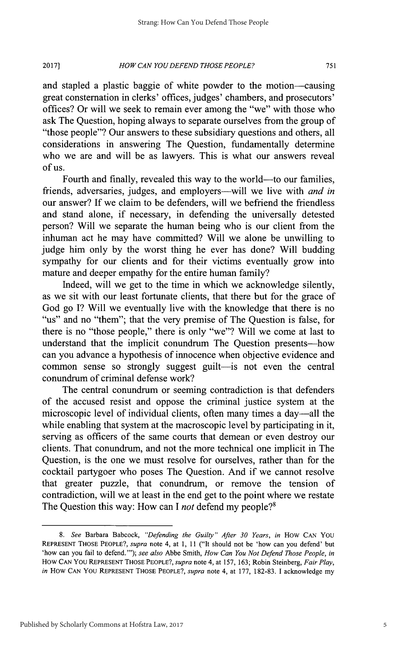#### *HOW CAN YOU DEFEND THOSE PEOPLE?* **20171 751**

and stapled a plastic baggie of white powder to the motion-causing great consternation in clerks' offices, judges' chambers, and prosecutors' offices? Or will we seek to remain ever among the "we" with those who ask The Question, hoping always to separate ourselves from the group of "those people"? Our answers to these subsidiary questions and others, all considerations in answering The Question, fundamentally determine who we are and will be as lawyers. This is what our answers reveal **of us.**

Fourth and finally, revealed this way to the world—to our families, friends, adversaries, judges, and employers--will we live with *and in* our answer? **If** we claim to be defenders, will we befriend the friendless and stand alone, if necessary, in defending the universally detested person? Will we separate the human being who is our client from the inhuman act he may have committed? Will we alone be unwilling to judge him only **by** the worst thing he ever has done? Will budding sympathy for our clients and for their victims eventually grow into mature and deeper empathy for the entire human family?

Indeed, will we get to the time in which we acknowledge silently, as we sit with our least fortunate clients, that there but for the grace of God go **I?** Will we eventually live with the knowledge that there is no "us" and no "them"; that the very premise of The Question is false, for there is no "those people," there is only "we"? Will we come at last to understand that the implicit conundrum The Ouestion presents-how can you advance a hypothesis of innocence when objective evidence and common sense so strongly suggest guilt-is not even the central conundrum of criminal defense work?

The central conundrum or seeming contradiction is that defenders of the accused resist and oppose the criminal justice system at the microscopic level of individual clients, often many times a day—all the while enabling that system at the macroscopic level **by** participating in it, serving as officers of the same courts that demean or even destroy our clients. That conundrum, and not the more technical one implicit in The Question, is the one we must resolve for ourselves, rather than for the cocktail partygoer who poses The Question. And if we cannot resolve that greater puzzle, that conundrum, or remove the tension of contradiction, will we at least in the end get to the point where we restate The Question this way: How can **I** *not* defend my people?'

**<sup>8.</sup>** *See* Barbara Babcock, *"Defending the Guilty" After 30 Years, in* How **CAN YOU** REPRESENT **THOSE** PEOPLE?, *supra* note 4, at **1, 11** ("It should not **be** 'how can you defend' but 'how can you fail to defend."'); *see also* Abbe Smith, *How Can You Not Defend Those People, in* How *CAN* You REPRESENT **THOSE** PEOPLE?, *supra* note 4, at **157, 163;** Robin Steinberg, *Fair Play, in* How *CAN* YOU REPRESENT THOSE PEOPLE?, *supra* note 4, at **177, 182-83.** I acknowledge my